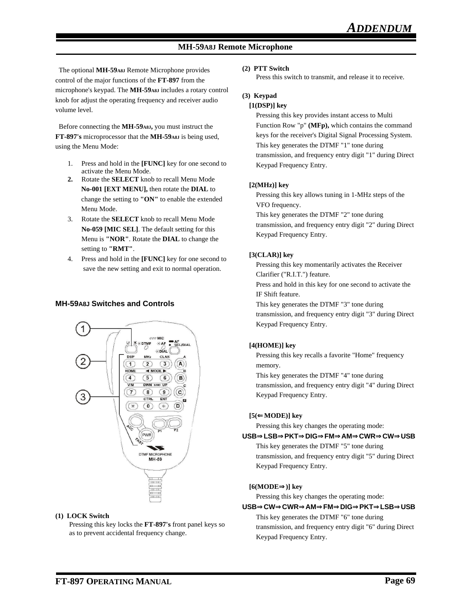# **MH-59A8J Remote Microphone**

 The optional **MH-59A8J** Remote Microphone provides control of the major functions of the **FT-897** from the microphone's keypad. The **MH-59A8J** includes a rotary control knob for adjust the operating frequency and receiver audio volume level.

 Before connecting the **MH-59A8J,** you must instruct the **FT-897's** microprocessor that the **MH-59A8J** is being used, using the Menu Mode:

- 1. Press and hold in the **[FUNC]** key for one second to activate the Menu Mode.
- **2.** Rotate the **SELECT** knob to recall Menu Mode **No-001 [EXT MENU],** then rotate the **DIAL** to change the setting to **"ON"** to enable the extended Menu Mode.
- 3. Rotate the **SELECT** knob to recall Menu Mode **No-059 [MIC SEL]**. The default setting for this Menu is **"NOR"**. Rotate the **DIAL** to change the setting to **"RMT"**.
- 4. Press and hold in the **[FUNC]** key for one second to save the new setting and exit to normal operation.

# **MH-59A8J Switches and Controls**



#### **(1) LOCK Switch**

Pressing this key locks the **FT-897's** front panel keys so as to prevent accidental frequency change.

#### **(2) PTT Switch**

Press this switch to transmit, and release it to receive.

### **(3) Keypad**

#### **[1(DSP)] key**

Pressing this key provides instant access to Multi Function Row "p" **(MFp),** which contains the command keys for the receiver's Digital Signal Processing System. This key generates the DTMF "1" tone during transmission, and frequency entry digit "1" during Direct Keypad Frequency Entry.

#### **[2(MHz)] key**

Pressing this key allows tuning in 1-MHz steps of the VFO frequency.

This key generates the DTMF "2" tone during transmission, and frequency entry digit "2" during Direct Keypad Frequency Entry.

#### **[3(CLAR)] key**

Pressing this key momentarily activates the Receiver Clarifier ("R.I.T.") feature.

Press and hold in this key for one second to activate the IF Shift feature.

This key generates the DTMF "3" tone during transmission, and frequency entry digit "3" during Direct Keypad Frequency Entry.

# **[4(HOME)] key**

Pressing this key recalls a favorite "Home" frequency memory.

This key generates the DTMF "4" tone during transmission, and frequency entry digit "4" during Direct Keypad Frequency Entry.

# **[5(**⇐**MODE)] key**

Pressing this key changes the operating mode:

### **USB**⇒**LSB**⇒**PKT**⇒**DIG**⇒**FM**⇒**AM**⇒**CWR**⇒**CW**⇒**USB**

This key generates the DTMF "5" tone during transmission, and frequency entry digit "5" during Direct Keypad Frequency Entry.

# **[6(MODE**⇒**)] key**

Pressing this key changes the operating mode:

**USB**⇒**CW**⇒**CWR**⇒**AM**⇒**FM**⇒**DIG**⇒**PKT**⇒**LSB**⇒**USB** This key generates the DTMF "6" tone during transmission, and frequency entry digit "6" during Direct Keypad Frequency Entry.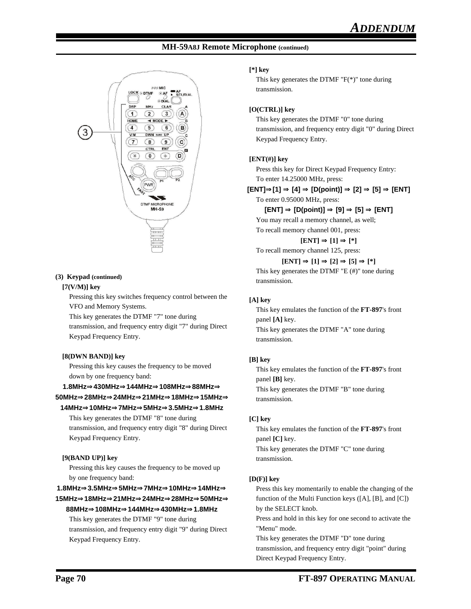# **MH-59A8J Remote Microphone (continued)**



#### **(3) Keypad (continued)**

#### **[7(V/M)] key**

Pressing this key switches frequency control between the VFO and Memory Systems.

This key generates the DTMF "7" tone during

transmission, and frequency entry digit "7" during Direct Keypad Frequency Entry.

# **[8(DWN BAND)] key**

Pressing this key causes the frequency to be moved down by one frequency band:

# **1.8MHz**⇒**430MHz**⇒**144MHz**⇒**108MHz**⇒**88MHz**⇒ **50MHz**⇒**28MHz**⇒**24MHz**⇒**21MHz**⇒**18MHz**⇒**15MHz**⇒

# **14MHz**⇒**10MHz**⇒**7MHz**⇒**5MHz**⇒**3.5MHz**⇒**1.8MHz**

This key generates the DTMF "8" tone during transmission, and frequency entry digit "8" during Direct Keypad Frequency Entry.

# **[9(BAND UP)] key**

Pressing this key causes the frequency to be moved up by one frequency band:

# **1.8MHz**⇒**3.5MHz**⇒**5MHz**⇒**7MHz**⇒**10MHz**⇒**14MHz**⇒ **15MHz**⇒**18MHz**⇒**21MHz**⇒**24MHz**⇒**28MHz**⇒**50MHz**⇒ **88MHz**⇒**108MHz**⇒**144MHz**⇒**430MHz**⇒**1.8MHz**

This key generates the DTMF "9" tone during transmission, and frequency entry digit "9" during Direct Keypad Frequency Entry.

#### **[\*] key**

This key generates the DTMF "F(\*)" tone during transmission.

### **[O(CTRL)] key**

This key generates the DTMF "0" tone during transmission, and frequency entry digit "0" during Direct Keypad Frequency Entry.

# **[ENT(#)] key**

Press this key for Direct Keypad Frequency Entry: To enter 14.25000 MHz, press:

# **[ENT]**⇒**[1]** ⇒ **[4]** ⇒ **[D(point)]** ⇒ **[2]** ⇒ **[5]** ⇒ **[ENT]**

To enter 0.95000 MHz, press:

# **[ENT]** ⇒ **[D(point)]** ⇒ **[9]** ⇒ **[5]** ⇒ **[ENT]**

You may recall a memory channel, as well; To recall memory channel 001, press:

 $[ENT] \Rightarrow [1] \Rightarrow [^*]$ 

To recall memory channel 125, press:

#### $[ENT] \Rightarrow [1] \Rightarrow [2] \Rightarrow [5] \Rightarrow [^*]$

This key generates the DTMF "E (#)" tone during transmission.

# **[A] key**

This key emulates the function of the **FT-897**'s front panel **[A]** key. This key generates the DTMF "A" tone during transmission.

# **[B] key**

This key emulates the function of the **FT-897**'s front panel **[B]** key. This key generates the DTMF "B" tone during transmission.

# **[C] key**

This key emulates the function of the **FT-897**'s front panel **[C]** key. This key generates the DTMF "C" tone during transmission.

# **[D(F)] key**

Press this key momentarily to enable the changing of the function of the Multi Function keys ([A], [B], and [C]) by the SELECT knob.

Press and hold in this key for one second to activate the "Menu" mode.

This key generates the DTMF "D" tone during transmission, and frequency entry digit "point" during Direct Keypad Frequency Entry.